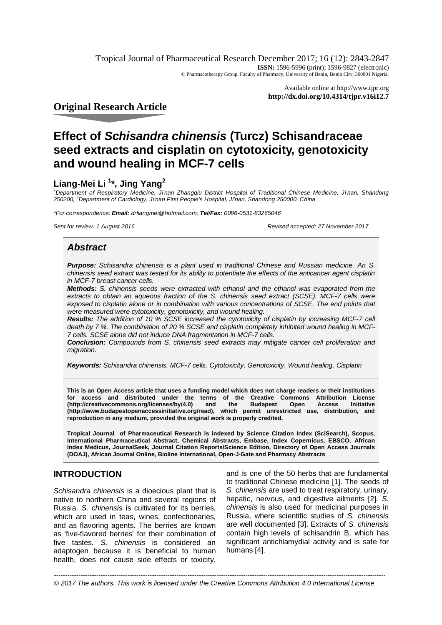Tropical Journal of Pharmaceutical Research December 2017; 16 (12): 2843-2847 **ISSN:** 1596-5996 (print); 1596-9827 (electronic) © Pharmacotherapy Group, Faculty of Pharmacy, University of Benin, Benin City, 300001 Nigeria.

> Available online at <http://www.tjpr.org> **<http://dx.doi.org/10.4314/tjpr.v16i12.7>**

**Original Research Article**

# **Effect of** *Schisandra chinensis* **(Turcz) Schisandraceae seed extracts and cisplatin on cytotoxicity, genotoxicity and wound healing in MCF-7 cells**

# **Liang-Mei Li <sup>1</sup> \*, Jing Yang<sup>2</sup>**

*<sup>1</sup>Department of Respiratory Medicine, Ji'nan Zhangqiu District Hospital of Traditional Chinese Medicine, Ji'nan, Shandong 250200, <sup>2</sup>Department of Cardiology, Ji'nan First People's Hospital, Ji'nan, Shandong 250000, China*

*\*For correspondence: Email: [drliangmei@hotmail.com;](mailto:drliangmei@hotmail.com;) Tel/Fax: 0086-0531-83265046*

*Sent for review: 1 August 2016 Revised accepted: 27 November 2017*

# *Abstract*

*Purpose: Schisandra chinensis is a plant used in traditional Chinese and Russian medicine. An S. chinensis seed extract was tested for its ability to potentiate the effects of the anticancer agent cisplatin in MCF-7 breast cancer cells.* 

*Methods: S. chinensis seeds were extracted with ethanol and the ethanol was evaporated from the extracts to obtain an aqueous fraction of the S. chinensis seed extract (SCSE). MCF-7 cells were*  exposed to cisplatin alone or in combination with various concentrations of SCSE. The end points that *were measured were cytotoxicity, genotoxicity, and wound healing.*

*Results: The addition of 10 % SCSE increased the cytotoxicity of cisplatin by increasing MCF-7 cell death by 7 %. The combination of 20 % SCSE and cisplatin completely inhibited wound healing in MCF-7 cells. SCSE alone did not induce DNA fragmentation in MCF-7 cells.* 

*Conclusion: Compounds from S. chinensis seed extracts may mitigate cancer cell proliferation and migration.*

*Keywords: Schisandra chinensis, MCF-7 cells, Cytotoxicity, Genotoxicity, Wound healing, Cisplatin*

**This is an Open Access article that uses a funding model which does not charge readers or their institutions for access and distributed under the terms of the Creative Commons Attribution License (http://creativecommons.org/licenses/by/4.0) [\(http://www.budapestopenaccessinitiative.org/read\),](http://www.budapestopenaccessinitiative.org/read),) which permit unrestricted use, distribution, and reproduction in any medium, provided the original work is properly credited.**

**Tropical Journal of Pharmaceutical Research is indexed by Science Citation Index (SciSearch), Scopus, International Pharmaceutical Abstract, Chemical Abstracts, Embase, Index Copernicus, EBSCO, African Index Medicus, JournalSeek, Journal Citation Reports/Science Edition, Directory of Open Access Journals (DOAJ), African Journal Online, Bioline International, Open-J-Gate and Pharmacy Abstracts**

# **INTRODUCTION**

*Schisandra chinensis* is a dioecious plant that is native to northern China and several regions of Russia. *S. chinensis* is cultivated for its berries, which are used in teas, wines, confectionaries, and as flavoring agents. The berries are known as 'five-flavored berries' for their combination of five tastes. *S. chinensis* is considered an adaptogen because it is beneficial to human health, does not cause side effects or toxicity,

and is one of the 50 herbs that are fundamental to traditional Chinese medicine [1]. The seeds of *S. chinensis* are used to treat respiratory, urinary, hepatic, nervous, and digestive ailments [2]. *S. chinensis* is also used for medicinal purposes in Russia, where scientific studies of *S. chinensis* are well documented [3]. Extracts of *S. chinensis* contain high levels of schisandrin B, which has significant antichlamydial activity and is safe for humans [4].

2843 *----------------------------------------------------------------------------------------------------------------------------------------------------- © 2017 The authors. This work is licensed under the Creative Commons Attribution 4.0 International License*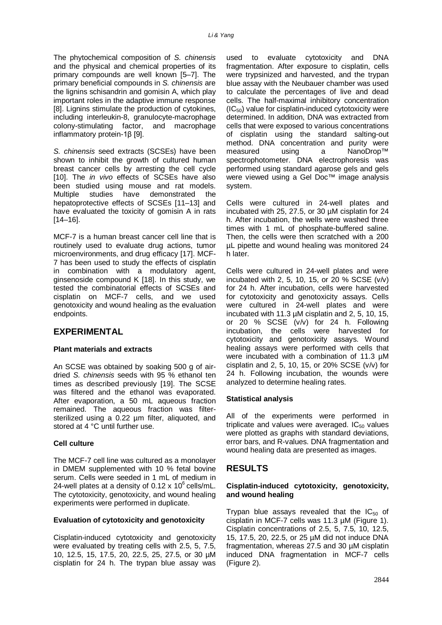The phytochemical composition of *S. chinensis* and the physical and chemical properties of its primary compounds are well known [5–7]. The primary beneficial compounds in *S. chinensis* are the lignins schisandrin and gomisin A, which play important roles in the adaptive immune response [8]. Lignins stimulate the production of cytokines, including interleukin-8, granulocyte-macrophage colony-stimulating factor, and macrophage inflammatory protein-1β [9].

*S. chinensis* seed extracts (SCSEs) have been shown to inhibit the growth of cultured human breast cancer cells by arresting the cell cycle [10]. The *in vivo* effects of SCSEs have also been studied using mouse and rat models. Multiple studies have demonstrated the hepatoprotective effects of SCSEs [11–13] and have evaluated the toxicity of gomisin A in rats [14–16].

MCF-7 is a human breast cancer cell line that is routinely used to evaluate drug actions, tumor microenvironments, and drug efficacy [17]. MCF-7 has been used to study the effects of cisplatin in combination with a modulatory agent, ginsenoside compound K [18]. In this study, we tested the combinatorial effects of SCSEs and cisplatin on MCF-7 cells, and we used genotoxicity and wound healing as the evaluation endpoints.

### **EXPERIMENTAL**

#### **Plant materials and extracts**

An SCSE was obtained by soaking 500 g of airdried *S. chinensis* seeds with 95 % ethanol ten times as described previously [19]. The SCSE was filtered and the ethanol was evaporated. After evaporation, a 50 mL aqueous fraction remained. The aqueous fraction was filtersterilized using a 0.22 µm filter, aliquoted, and stored at 4 °C until further use.

#### **Cell culture**

The MCF-7 cell line was cultured as a monolayer in DMEM supplemented with 10 % fetal bovine serum. Cells were seeded in 1 mL of medium in 24-well plates at a density of  $0.12 \times 10^6$  cells/mL. The cytotoxicity, genotoxicity, and wound healing experiments were performed in duplicate.

#### **Evaluation of cytotoxicity and genotoxicity**

Cisplatin-induced cytotoxicity and genotoxicity were evaluated by treating cells with 2.5, 5, 7.5, 10, 12.5, 15, 17.5, 20, 22.5, 25, 27.5, or 30 µM cisplatin for 24 h. The trypan blue assay was

used to evaluate cytotoxicity and DNA fragmentation. After exposure to cisplatin, cells were trypsinized and harvested, and the trypan blue assay with the Neubauer chamber was used to calculate the percentages of live and dead cells. The half-maximal inhibitory concentration  $(IC_{50})$  value for cisplatin-induced cytotoxicity were determined. In addition, DNA was extracted from cells that were exposed to various concentrations of cisplatin using the standard salting-out method. DNA concentration and purity were measured using a NanoDrop™ spectrophotometer. DNA electrophoresis was performed using standard agarose gels and gels were viewed using a Gel Doc™ image analysis system.

Cells were cultured in 24-well plates and incubated with 25, 27.5, or 30 µM cisplatin for 24 h. After incubation, the wells were washed three times with 1 mL of phosphate-buffered saline. Then, the cells were then scratched with a 200 µL pipette and wound healing was monitored 24 h later.

Cells were cultured in 24-well plates and were incubated with 2, 5, 10, 15, or 20 % SCSE  $(v/v)$ for 24 h. After incubation, cells were harvested for cytotoxicity and genotoxicity assays. Cells were cultured in 24-well plates and were incubated with 11.3 µM cisplatin and 2, 5, 10, 15, or 20 % SCSE (v/v) for 24 h. Following incubation, the cells were harvested for cytotoxicity and genotoxicity assays. Wound healing assays were performed with cells that were incubated with a combination of 11.3 µM cisplatin and 2, 5, 10, 15, or 20% SCSE (v/v) for 24 h. Following incubation, the wounds were analyzed to determine healing rates.

#### **Statistical analysis**

All of the experiments were performed in triplicate and values were averaged.  $IC_{50}$  values were plotted as graphs with standard deviations, error bars, and R-values. DNA fragmentation and wound healing data are presented as images.

#### **RESULTS**

#### **Cisplatin-induced cytotoxicity, genotoxicity, and wound healing**

Trypan blue assays revealed that the  $IC_{50}$  of cisplatin in MCF-7 cells was 11.3 µM (Figure 1). Cisplatin concentrations of 2.5, 5, 7.5, 10, 12.5, 15, 17.5, 20, 22.5, or 25 µM did not induce DNA fragmentation, whereas 27.5 and 30 µM cisplatin induced DNA fragmentation in MCF-7 cells (Figure 2).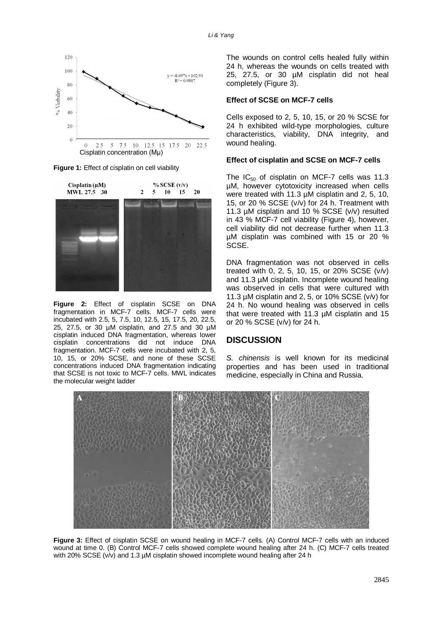

**Figure 1:** Effect of cisplatin on cell viability



**Figure 2:** Effect of cisplatin SCSE on DNA fragmentation in MCF-7 cells. MCF-7 cells were incubated with 2.5, 5, 7.5, 10, 12.5, 15, 17.5, 20, 22.5, 25, 27.5, or 30 µM cisplatin, and 27.5 and 30 µM cisplatin induced DNA fragmentation, whereas lower cisplatin concentrations did not induce DNA fragmentation. MCF-7 cells were incubated with 2, 5, 10, 15, or 20% SCSE, and none of these SCSE concentrations induced DNA fragmentation indicating that SCSE is not toxic to MCF-7 cells. MWL indicates the molecular weight ladder

The wounds on control cells healed fully within 24 h, whereas the wounds on cells treated with 25, 27.5, or 30 µM cisplatin did not heal completely (Figure 3).

#### **Effect of SCSE on MCF-7 cells**

Cells exposed to 2, 5, 10, 15, or 20 % SCSE for 24 h exhibited wild-type morphologies, culture characteristics, viability, DNA integrity, and wound healing.

#### **Effect of cisplatin and SCSE on MCF-7 cells**

The  $IC_{50}$  of cisplatin on MCF-7 cells was 11.3 µM, however cytotoxicity increased when cells were treated with 11.3 µM cisplatin and 2, 5, 10, 15, or 20 % SCSE (v/v) for 24 h. Treatment with 11.3 µM cisplatin and 10 % SCSE (v/v) resulted in 43 % MCF-7 cell viability (Figure 4), however, cell viability did not decrease further when 11.3 µM cisplatin was combined with 15 or 20 % SCSE.

DNA fragmentation was not observed in cells treated with 0, 2, 5, 10, 15, or 20% SCSE (v/v) and 11.3 µM cisplatin. Incomplete wound healing was observed in cells that were cultured with 11.3 µM cisplatin and 2, 5, or 10% SCSE (v/v) for 24 h. No wound healing was observed in cells that were treated with 11.3 µM cisplatin and 15 or 20 % SCSE (v/v) for 24 h.

#### **DISCUSSION**

*S. chinensis* is well known for its medicinal properties and has been used in traditional medicine, especially in China and Russia.



**Figure 3:** Effect of cisplatin SCSE on wound healing in MCF-7 cells. (A) Control MCF-7 cells with an induced wound at time 0. (B) Control MCF-7 cells showed complete wound healing after 24 h. (C) MCF-7 cells treated with 20% SCSE (v/v) and 1.3 µM cisplatin showed incomplete wound healing after 24 h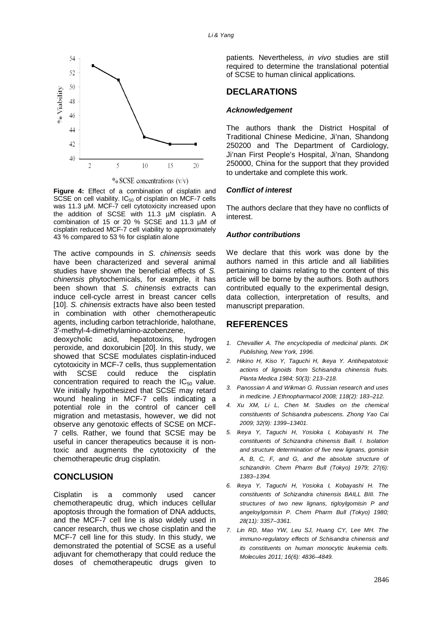

 $%$  SCSE concentrations  $(v/v)$ 

**Figure 4:** Effect of a combination of cisplatin and SCSE on cell viability.  $IC_{50}$  of cisplatin on MCF-7 cells was 11.3 µM. MCF-7 cell cytotoxicity increased upon the addition of SCSE with 11.3 µM cisplatin. A combination of 15 or 20 % SCSE and 11.3 µM of cisplatin reduced MCF-7 cell viability to approximately 43 % compared to 53 % for cisplatin alone

The active compounds in *S. chinensis* seeds have been characterized and several animal studies have shown the beneficial effects of *S. chinensis* phytochemicals, for example, it has been shown that *S. chinensis* extracts can induce cell-cycle arrest in breast cancer cells [10]. *S. chinensis* extracts have also been tested in combination with other chemotherapeutic agents, including carbon tetrachloride, halothane, 3′-methyl-4-dimethylamino-azobenzene,

deoxycholic acid, hepatotoxins, hydrogen peroxide, and doxorubicin [20]. In this study, we showed that SCSE modulates cisplatin-induced cytotoxicity in MCF-7 cells, thus supplementation with SCSE could reduce the cisplatin concentration required to reach the  $IC_{50}$  value. We initially hypothesized that SCSE may retard wound healing in MCF-7 cells indicating a potential role in the control of cancer cell migration and metastasis, however, we did not observe any genotoxic effects of SCSE on MCF-7 cells. Rather, we found that SCSE may be useful in cancer therapeutics because it is nontoxic and augments the cytotoxicity of the chemotherapeutic drug cisplatin.

# **CONCLUSION**

Cisplatin is a commonly used cancer chemotherapeutic drug, which induces cellular apoptosis through the formation of DNA adducts, and the MCF-7 cell line is also widely used in cancer research, thus we chose cisplatin and the MCF-7 cell line for this study. In this study, we demonstrated the potential of SCSE as a useful adjuvant for chemotherapy that could reduce the doses of chemotherapeutic drugs given to

patients. Nevertheless, *in vivo* studies are still required to determine the translational potential of SCSE to human clinical applications.

## **DECLARATIONS**

#### *Acknowledgement*

The authors thank the District Hospital of Traditional Chinese Medicine, Ji'nan, Shandong 250200 and The Department of Cardiology, Ji'nan First People's Hospital, Ji'nan, Shandong 250000, China for the support that they provided to undertake and complete this work.

#### *Conflict of interest*

The authors declare that they have no conflicts of interest.

#### *Author contributions*

We declare that this work was done by the authors named in this article and all liabilities pertaining to claims relating to the content of this article will be borne by the authors. Both authors contributed equally to the experimental design, data collection, interpretation of results, and manuscript preparation.

# **REFERENCES**

- *1. Chevallier A. The encyclopedia of medicinal plants. DK Publishing, New York, 1996.*
- *2. Hikino H, Kiso Y, Taguchi H, Ikeya Y. Antihepatotoxic actions of lignoids from Schisandra chinensis fruits. Planta Medica 1984; 50(3): 213–218.*
- *3. Panossian A and Wikman G. Russian research and uses in medicine. J Ethnopharmacol 2008; 118(2): 183–212.*
- *4. Xu XM, Li L, Chen M. Studies on the chemical constituents of Schisandra pubescens. Zhong Yao Cai 2009; 32(9): 1399–13401.*
- *5. Ikeya Y, Taguchi H, Yosioka I, Kobayashi H. The constituents of Schizandra chinensis Baill. I. Isolation and structure determination of five new lignans, gomisin A, B, C, F, and G, and the absolute structure of schizandrin. Chem Pharm Bull (Tokyo) 1979; 27(6): 1383–1394.*
- *6. Ikeya Y, Taguchi H, Yosioka I, Kobayashi H. The constituents of Schizandra chinensis BAILL BIII. The structures of two new lignans, tigloylgomisin P and angeloylgomisin P. Chem Pharm Bull (Tokyo) 1980; 28(11): 3357–3361.*
- *7. Lin RD, Mao YW, Leu SJ, Huang CY, Lee MH. The immuno-regulatory effects of Schisandra chinensis and its constituents on human monocytic leukemia cells. Molecules 2011; 16(6): 4836–4849.*